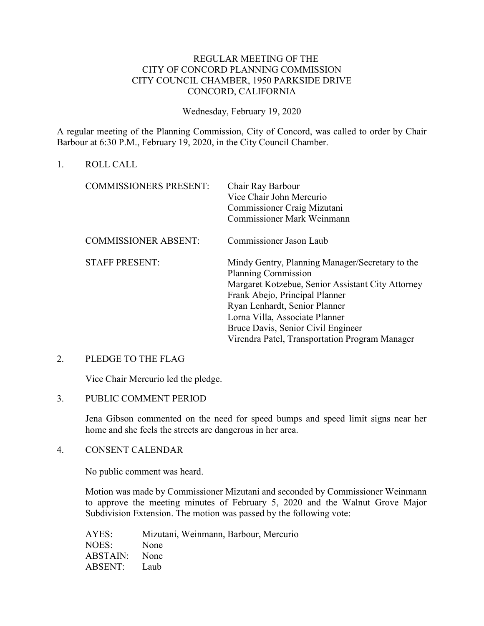# REGULAR MEETING OF THE CITY OF CONCORD PLANNING COMMISSION CITY COUNCIL CHAMBER, 1950 PARKSIDE DRIVE CONCORD, CALIFORNIA

Wednesday, February 19, 2020

A regular meeting of the Planning Commission, City of Concord, was called to order by Chair Barbour at 6:30 P.M., February 19, 2020, in the City Council Chamber.

1. ROLL CALL

| <b>COMMISSIONERS PRESENT:</b> | Chair Ray Barbour<br>Vice Chair John Mercurio<br>Commissioner Craig Mizutani<br><b>Commissioner Mark Weinmann</b>                                                                                                                                                                                                               |
|-------------------------------|---------------------------------------------------------------------------------------------------------------------------------------------------------------------------------------------------------------------------------------------------------------------------------------------------------------------------------|
| <b>COMMISSIONER ABSENT:</b>   | Commissioner Jason Laub                                                                                                                                                                                                                                                                                                         |
| <b>STAFF PRESENT:</b>         | Mindy Gentry, Planning Manager/Secretary to the<br><b>Planning Commission</b><br>Margaret Kotzebue, Senior Assistant City Attorney<br>Frank Abejo, Principal Planner<br>Ryan Lenhardt, Senior Planner<br>Lorna Villa, Associate Planner<br>Bruce Davis, Senior Civil Engineer<br>Virendra Patel, Transportation Program Manager |

### 2. PLEDGE TO THE FLAG

Vice Chair Mercurio led the pledge.

### 3. PUBLIC COMMENT PERIOD

Jena Gibson commented on the need for speed bumps and speed limit signs near her home and she feels the streets are dangerous in her area.

# 4. CONSENT CALENDAR

No public comment was heard.

Motion was made by Commissioner Mizutani and seconded by Commissioner Weinmann to approve the meeting minutes of February 5, 2020 and the Walnut Grove Major Subdivision Extension. The motion was passed by the following vote:

AYES: Mizutani, Weinmann, Barbour, Mercurio NOES: None ABSTAIN: None ABSENT: Laub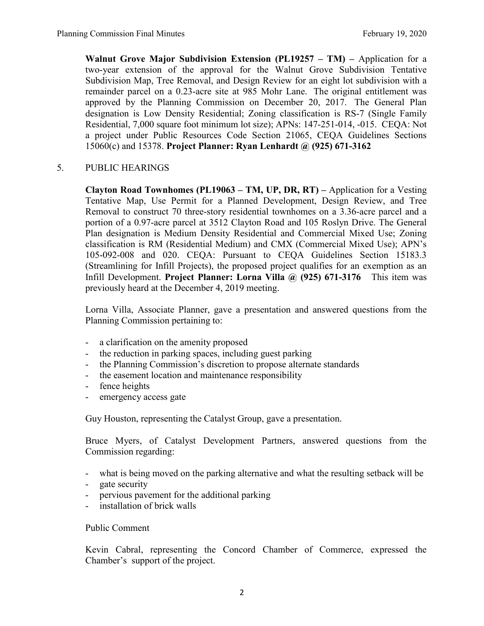**Walnut Grove Major Subdivision Extension (PL19257 – TM) –** Application for a two-year extension of the approval for the Walnut Grove Subdivision Tentative Subdivision Map, Tree Removal, and Design Review for an eight lot subdivision with a remainder parcel on a 0.23-acre site at 985 Mohr Lane. The original entitlement was approved by the Planning Commission on December 20, 2017. The General Plan designation is Low Density Residential; Zoning classification is RS-7 (Single Family Residential, 7,000 square foot minimum lot size); APNs: 147-251-014, -015. CEQA: Not a project under Public Resources Code Section 21065, CEQA Guidelines Sections 15060(c) and 15378. **Project Planner: Ryan Lenhardt @ (925) 671-3162**

# 5. PUBLIC HEARINGS

**Clayton Road Townhomes (PL19063 – TM, UP, DR, RT) –** Application for a Vesting Tentative Map, Use Permit for a Planned Development, Design Review, and Tree Removal to construct 70 three-story residential townhomes on a 3.36-acre parcel and a portion of a 0.97-acre parcel at 3512 Clayton Road and 105 Roslyn Drive. The General Plan designation is Medium Density Residential and Commercial Mixed Use; Zoning classification is RM (Residential Medium) and CMX (Commercial Mixed Use); APN's 105-092-008 and 020. CEQA: Pursuant to CEQA Guidelines Section 15183.3 (Streamlining for Infill Projects), the proposed project qualifies for an exemption as an Infill Development. **Project Planner: Lorna Villa @ (925) 671-3176** This item was previously heard at the December 4, 2019 meeting.

Lorna Villa, Associate Planner, gave a presentation and answered questions from the Planning Commission pertaining to:

- a clarification on the amenity proposed
- the reduction in parking spaces, including guest parking
- the Planning Commission's discretion to propose alternate standards
- the easement location and maintenance responsibility
- fence heights
- emergency access gate

Guy Houston, representing the Catalyst Group, gave a presentation.

Bruce Myers, of Catalyst Development Partners, answered questions from the Commission regarding:

- what is being moved on the parking alternative and what the resulting setback will be
- gate security
- pervious pavement for the additional parking
- installation of brick walls

### Public Comment

Kevin Cabral, representing the Concord Chamber of Commerce, expressed the Chamber's support of the project.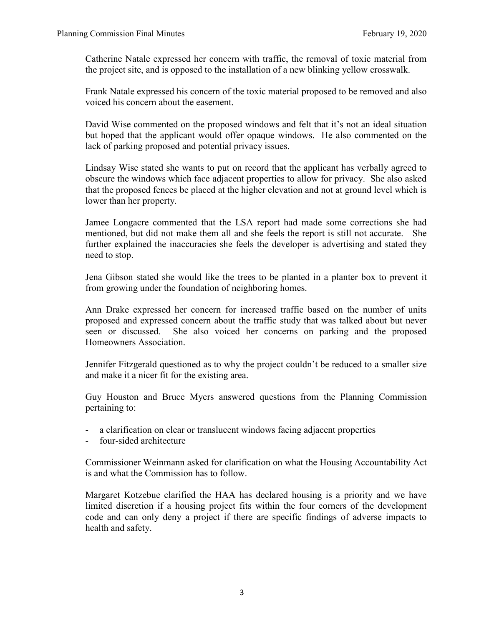Catherine Natale expressed her concern with traffic, the removal of toxic material from the project site, and is opposed to the installation of a new blinking yellow crosswalk.

Frank Natale expressed his concern of the toxic material proposed to be removed and also voiced his concern about the easement.

David Wise commented on the proposed windows and felt that it's not an ideal situation but hoped that the applicant would offer opaque windows. He also commented on the lack of parking proposed and potential privacy issues.

Lindsay Wise stated she wants to put on record that the applicant has verbally agreed to obscure the windows which face adjacent properties to allow for privacy. She also asked that the proposed fences be placed at the higher elevation and not at ground level which is lower than her property.

Jamee Longacre commented that the LSA report had made some corrections she had mentioned, but did not make them all and she feels the report is still not accurate. She further explained the inaccuracies she feels the developer is advertising and stated they need to stop.

Jena Gibson stated she would like the trees to be planted in a planter box to prevent it from growing under the foundation of neighboring homes.

Ann Drake expressed her concern for increased traffic based on the number of units proposed and expressed concern about the traffic study that was talked about but never seen or discussed. She also voiced her concerns on parking and the proposed Homeowners Association.

Jennifer Fitzgerald questioned as to why the project couldn't be reduced to a smaller size and make it a nicer fit for the existing area.

Guy Houston and Bruce Myers answered questions from the Planning Commission pertaining to:

- a clarification on clear or translucent windows facing adjacent properties
- four-sided architecture

Commissioner Weinmann asked for clarification on what the Housing Accountability Act is and what the Commission has to follow.

Margaret Kotzebue clarified the HAA has declared housing is a priority and we have limited discretion if a housing project fits within the four corners of the development code and can only deny a project if there are specific findings of adverse impacts to health and safety.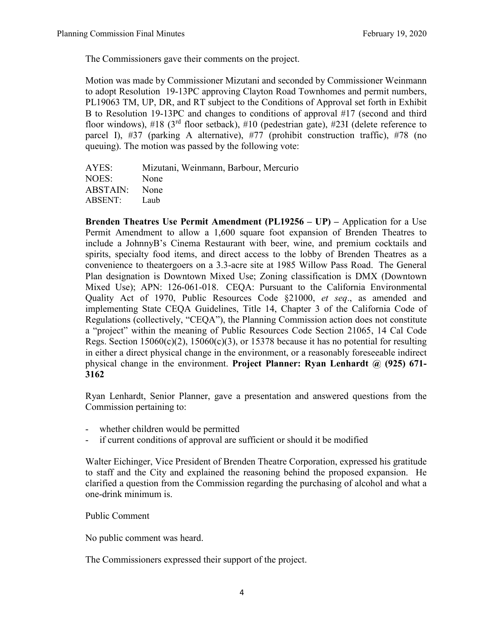The Commissioners gave their comments on the project.

Motion was made by Commissioner Mizutani and seconded by Commissioner Weinmann to adopt Resolution 19-13PC approving Clayton Road Townhomes and permit numbers, PL19063 TM, UP, DR, and RT subject to the Conditions of Approval set forth in Exhibit B to Resolution 19-13PC and changes to conditions of approval #17 (second and third floor windows),  $\#18$  (3<sup>rd</sup> floor setback),  $\#10$  (pedestrian gate),  $\#23I$  (delete reference to parcel I), #37 (parking A alternative), #77 (prohibit construction traffic), #78 (no queuing). The motion was passed by the following vote:

| AYES:         | Mizutani, Weinmann, Barbour, Mercurio |
|---------------|---------------------------------------|
| NOES:         | None                                  |
| ABSTAIN: None |                                       |
| ABSENT:       | Laub                                  |

**Brenden Theatres Use Permit Amendment (PL19256 – UP) –** Application for a Use Permit Amendment to allow a 1,600 square foot expansion of Brenden Theatres to include a JohnnyB's Cinema Restaurant with beer, wine, and premium cocktails and spirits, specialty food items, and direct access to the lobby of Brenden Theatres as a convenience to theatergoers on a 3.3-acre site at 1985 Willow Pass Road. The General Plan designation is Downtown Mixed Use; Zoning classification is DMX (Downtown Mixed Use); APN: 126-061-018. CEQA: Pursuant to the California Environmental Quality Act of 1970, Public Resources Code §21000, *et seq*., as amended and implementing State CEQA Guidelines, Title 14, Chapter 3 of the California Code of Regulations (collectively, "CEQA"), the Planning Commission action does not constitute a "project" within the meaning of Public Resources Code Section 21065, 14 Cal Code Regs. Section  $15060(c)(2)$ ,  $15060(c)(3)$ , or 15378 because it has no potential for resulting in either a direct physical change in the environment, or a reasonably foreseeable indirect physical change in the environment. **Project Planner: Ryan Lenhardt @ (925) 671- 3162**

Ryan Lenhardt, Senior Planner, gave a presentation and answered questions from the Commission pertaining to:

- whether children would be permitted
- if current conditions of approval are sufficient or should it be modified

Walter Eichinger, Vice President of Brenden Theatre Corporation, expressed his gratitude to staff and the City and explained the reasoning behind the proposed expansion. He clarified a question from the Commission regarding the purchasing of alcohol and what a one-drink minimum is.

Public Comment

No public comment was heard.

The Commissioners expressed their support of the project.